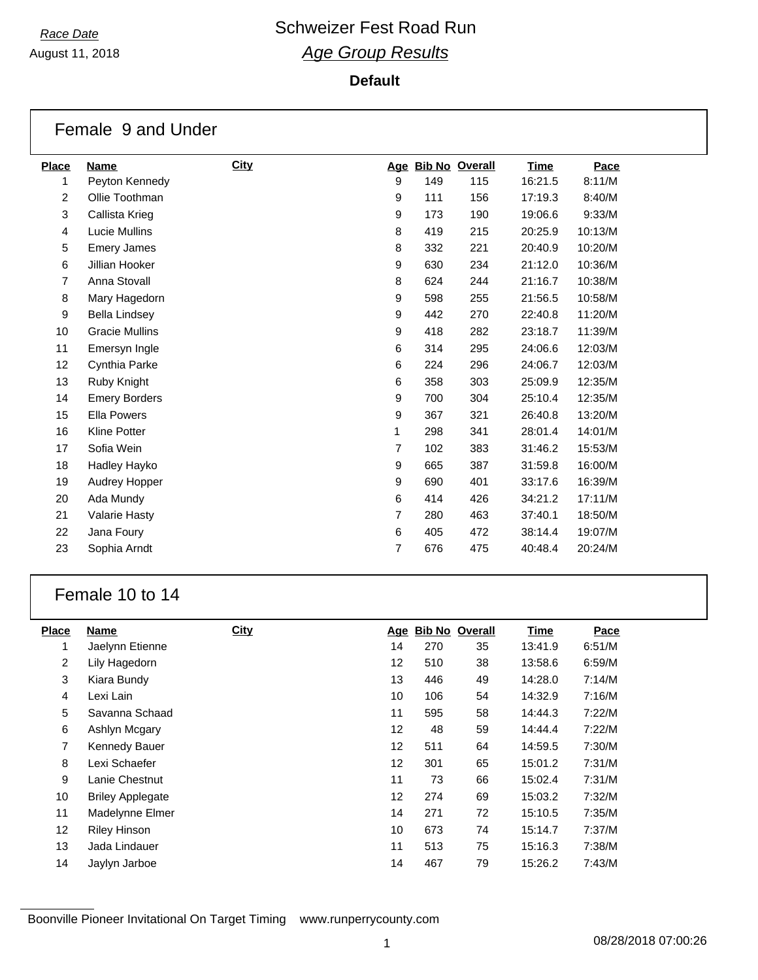August 11, 2018

#### **Default**

|                | Female 9 and Under    |             |                |     |                       |         |         |
|----------------|-----------------------|-------------|----------------|-----|-----------------------|---------|---------|
| <b>Place</b>   | <b>Name</b>           | <b>City</b> | Age            |     | <b>Bib No Overall</b> | Time    | Pace    |
| 1              | Peyton Kennedy        |             | 9              | 149 | 115                   | 16:21.5 | 8:11/M  |
| 2              | Ollie Toothman        |             | 9              | 111 | 156                   | 17:19.3 | 8:40/M  |
| 3              | Callista Krieg        |             | 9              | 173 | 190                   | 19:06.6 | 9:33/M  |
| 4              | <b>Lucie Mullins</b>  |             | 8              | 419 | 215                   | 20:25.9 | 10:13/M |
| 5              | <b>Emery James</b>    |             | 8              | 332 | 221                   | 20:40.9 | 10:20/M |
| 6              | Jillian Hooker        |             | 9              | 630 | 234                   | 21:12.0 | 10:36/M |
| $\overline{7}$ | Anna Stovall          |             | 8              | 624 | 244                   | 21:16.7 | 10:38/M |
| 8              | Mary Hagedorn         |             | 9              | 598 | 255                   | 21:56.5 | 10:58/M |
| 9              | <b>Bella Lindsey</b>  |             | 9              | 442 | 270                   | 22:40.8 | 11:20/M |
| 10             | <b>Gracie Mullins</b> |             | 9              | 418 | 282                   | 23:18.7 | 11:39/M |
| 11             | Emersyn Ingle         |             | 6              | 314 | 295                   | 24:06.6 | 12:03/M |
| 12             | Cynthia Parke         |             | 6              | 224 | 296                   | 24:06.7 | 12:03/M |
| 13             | Ruby Knight           |             | 6              | 358 | 303                   | 25:09.9 | 12:35/M |
| 14             | <b>Emery Borders</b>  |             | 9              | 700 | 304                   | 25:10.4 | 12:35/M |
| 15             | <b>Ella Powers</b>    |             | 9              | 367 | 321                   | 26:40.8 | 13:20/M |
| 16             | <b>Kline Potter</b>   |             | 1              | 298 | 341                   | 28:01.4 | 14:01/M |
| 17             | Sofia Wein            |             | $\overline{7}$ | 102 | 383                   | 31:46.2 | 15:53/M |
| 18             | Hadley Hayko          |             | 9              | 665 | 387                   | 31:59.8 | 16:00/M |
| 19             | Audrey Hopper         |             | 9              | 690 | 401                   | 33:17.6 | 16:39/M |
| 20             | Ada Mundy             |             | 6              | 414 | 426                   | 34:21.2 | 17:11/M |
| 21             | <b>Valarie Hasty</b>  |             | $\overline{7}$ | 280 | 463                   | 37:40.1 | 18:50/M |
| 22             | Jana Foury            |             | 6              | 405 | 472                   | 38:14.4 | 19:07/M |
| 23             | Sophia Arndt          |             | $\overline{7}$ | 676 | 475                   | 40:48.4 | 20:24/M |

### Female 10 to 14

| <b>Place</b>   | <b>Name</b>             | <b>City</b> | <u>Age</u> | <b>Bib No Overall</b> |    | <b>Time</b> | Pace   |
|----------------|-------------------------|-------------|------------|-----------------------|----|-------------|--------|
| 1              | Jaelynn Etienne         |             | 14         | 270                   | 35 | 13:41.9     | 6:51/M |
| $\overline{2}$ | Lily Hagedorn           |             | 12         | 510                   | 38 | 13:58.6     | 6:59/M |
| 3              | Kiara Bundy             |             | 13         | 446                   | 49 | 14:28.0     | 7:14/M |
| 4              | Lexi Lain               |             | 10         | 106                   | 54 | 14:32.9     | 7:16/M |
| 5              | Savanna Schaad          |             | 11         | 595                   | 58 | 14:44.3     | 7:22/M |
| 6              | Ashlyn Mcgary           |             | 12         | 48                    | 59 | 14:44.4     | 7:22/M |
| 7              | Kennedy Bauer           |             | 12         | 511                   | 64 | 14:59.5     | 7:30/M |
| 8              | Lexi Schaefer           |             | 12         | 301                   | 65 | 15:01.2     | 7:31/M |
| 9              | Lanie Chestnut          |             | 11         | 73                    | 66 | 15:02.4     | 7:31/M |
| 10             | <b>Briley Applegate</b> |             | 12         | 274                   | 69 | 15:03.2     | 7:32/M |
| 11             | Madelynne Elmer         |             | 14         | 271                   | 72 | 15:10.5     | 7:35/M |
| 12             | <b>Riley Hinson</b>     |             | 10         | 673                   | 74 | 15:14.7     | 7:37/M |
| 13             | Jada Lindauer           |             | 11         | 513                   | 75 | 15:16.3     | 7:38/M |
| 14             | Jaylyn Jarboe           |             | 14         | 467                   | 79 | 15:26.2     | 7:43/M |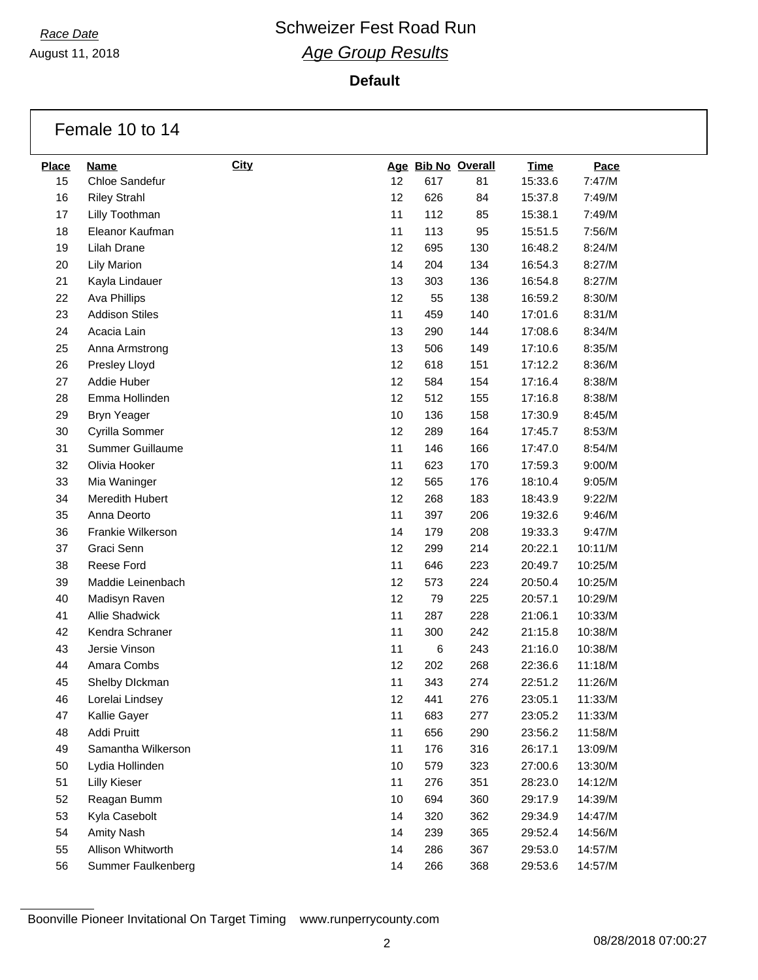August 11, 2018

**Default**

|              | Female 10 to 14       |             |    |     |                    |             |         |
|--------------|-----------------------|-------------|----|-----|--------------------|-------------|---------|
| <b>Place</b> | <b>Name</b>           | <b>City</b> |    |     | Age Bib No Overall | <b>Time</b> | Pace    |
| 15           | Chloe Sandefur        |             | 12 | 617 | 81                 | 15:33.6     | 7:47/M  |
| 16           | <b>Riley Strahl</b>   |             | 12 | 626 | 84                 | 15:37.8     | 7:49/M  |
| 17           | Lilly Toothman        |             | 11 | 112 | 85                 | 15:38.1     | 7:49/M  |
| 18           | Eleanor Kaufman       |             | 11 | 113 | 95                 | 15:51.5     | 7:56/M  |
| 19           | Lilah Drane           |             | 12 | 695 | 130                | 16:48.2     | 8:24/M  |
| 20           | <b>Lily Marion</b>    |             | 14 | 204 | 134                | 16:54.3     | 8:27/M  |
| 21           | Kayla Lindauer        |             | 13 | 303 | 136                | 16:54.8     | 8:27/M  |
| 22           | Ava Phillips          |             | 12 | 55  | 138                | 16:59.2     | 8:30/M  |
| 23           | <b>Addison Stiles</b> |             | 11 | 459 | 140                | 17:01.6     | 8:31/M  |
| 24           | Acacia Lain           |             | 13 | 290 | 144                | 17:08.6     | 8:34/M  |
| 25           | Anna Armstrong        |             | 13 | 506 | 149                | 17:10.6     | 8:35/M  |
| 26           | Presley Lloyd         |             | 12 | 618 | 151                | 17:12.2     | 8:36/M  |
| 27           | Addie Huber           |             | 12 | 584 | 154                | 17:16.4     | 8:38/M  |
| 28           | Emma Hollinden        |             | 12 | 512 | 155                | 17:16.8     | 8:38/M  |
| 29           | <b>Bryn Yeager</b>    |             | 10 | 136 | 158                | 17:30.9     | 8:45/M  |
| 30           | Cyrilla Sommer        |             | 12 | 289 | 164                | 17:45.7     | 8:53/M  |
| 31           | Summer Guillaume      |             | 11 | 146 | 166                | 17:47.0     | 8:54/M  |
| 32           | Olivia Hooker         |             | 11 | 623 | 170                | 17:59.3     | 9:00/M  |
| 33           | Mia Waninger          |             | 12 | 565 | 176                | 18:10.4     | 9:05/M  |
| 34           | Meredith Hubert       |             | 12 | 268 | 183                | 18:43.9     | 9:22/M  |
| 35           | Anna Deorto           |             | 11 | 397 | 206                | 19:32.6     | 9:46/M  |
| 36           | Frankie Wilkerson     |             | 14 | 179 | 208                | 19:33.3     | 9:47/M  |
| 37           | Graci Senn            |             | 12 | 299 | 214                | 20:22.1     | 10:11/M |
| 38           | Reese Ford            |             | 11 | 646 | 223                | 20:49.7     | 10:25/M |
| 39           | Maddie Leinenbach     |             | 12 | 573 | 224                | 20:50.4     | 10:25/M |
| 40           | Madisyn Raven         |             | 12 | 79  | 225                | 20:57.1     | 10:29/M |
| 41           | <b>Allie Shadwick</b> |             | 11 | 287 | 228                | 21:06.1     | 10:33/M |
| 42           | Kendra Schraner       |             | 11 | 300 | 242                | 21:15.8     | 10:38/M |
| 43           | Jersie Vinson         |             | 11 | 6   | 243                | 21:16.0     | 10:38/M |
| 44           | Amara Combs           |             | 12 | 202 | 268                | 22:36.6     | 11:18/M |
| 45           | Shelby Dlckman        |             | 11 | 343 | 274                | 22:51.2     | 11:26/M |
| 46           | Lorelai Lindsey       |             | 12 | 441 | 276                | 23:05.1     | 11:33/M |
| 47           | Kallie Gayer          |             | 11 | 683 | 277                | 23:05.2     | 11:33/M |
| 48           | Addi Pruitt           |             | 11 | 656 | 290                | 23:56.2     | 11:58/M |
| 49           | Samantha Wilkerson    |             | 11 | 176 | 316                | 26:17.1     | 13:09/M |
| 50           | Lydia Hollinden       |             | 10 | 579 | 323                | 27:00.6     | 13:30/M |
| 51           | <b>Lilly Kieser</b>   |             | 11 | 276 | 351                | 28:23.0     | 14:12/M |
| 52           | Reagan Bumm           |             | 10 | 694 | 360                | 29:17.9     | 14:39/M |
| 53           | Kyla Casebolt         |             | 14 | 320 | 362                | 29:34.9     | 14:47/M |
| 54           | Amity Nash            |             | 14 | 239 | 365                | 29:52.4     | 14:56/M |
| 55           | Allison Whitworth     |             | 14 | 286 | 367                | 29:53.0     | 14:57/M |
| 56           | Summer Faulkenberg    |             | 14 | 266 | 368                | 29:53.6     | 14:57/M |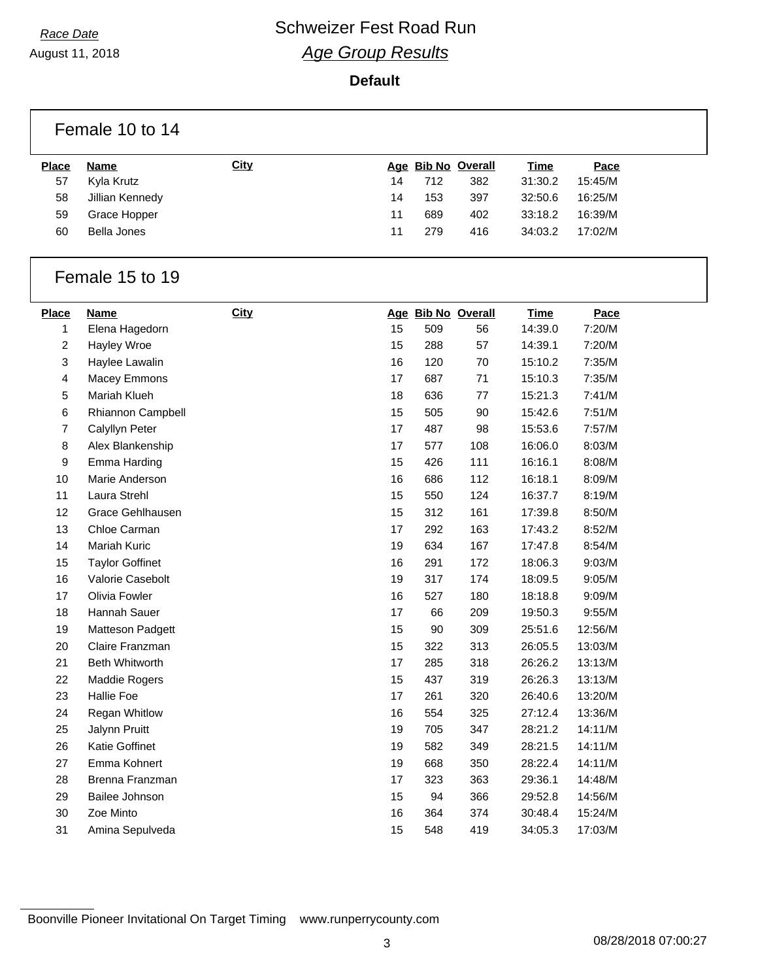August 11, 2018

#### **Default**

|                    | Female 10 to 14           |             |    |     |                           |                        |                 |  |
|--------------------|---------------------------|-------------|----|-----|---------------------------|------------------------|-----------------|--|
|                    |                           |             |    |     |                           |                        |                 |  |
| <b>Place</b><br>57 | <b>Name</b><br>Kyla Krutz | <b>City</b> | 14 | 712 | Age Bib No Overall<br>382 | <b>Time</b><br>31:30.2 | Pace<br>15:45/M |  |
| 58                 | Jillian Kennedy           |             | 14 | 153 | 397                       | 32:50.6                | 16:25/M         |  |
| 59                 | Grace Hopper              |             | 11 | 689 | 402                       | 33:18.2                | 16:39/M         |  |
| 60                 | <b>Bella Jones</b>        |             | 11 | 279 | 416                       | 34:03.2                | 17:02/M         |  |
|                    |                           |             |    |     |                           |                        |                 |  |
|                    | Female 15 to 19           |             |    |     |                           |                        |                 |  |
| <b>Place</b>       | <b>Name</b>               | <b>City</b> |    |     | Age Bib No Overall        | <b>Time</b>            | Pace            |  |
| $\mathbf{1}$       | Elena Hagedorn            |             | 15 | 509 | 56                        | 14:39.0                | 7:20/M          |  |
| 2                  | Hayley Wroe               |             | 15 | 288 | 57                        | 14:39.1                | 7:20/M          |  |
| 3                  | Haylee Lawalin            |             | 16 | 120 | 70                        | 15:10.2                | 7:35/M          |  |
| 4                  | Macey Emmons              |             | 17 | 687 | 71                        | 15:10.3                | 7:35/M          |  |
| 5                  | Mariah Klueh              |             | 18 | 636 | 77                        | 15:21.3                | 7:41/M          |  |
| 6                  | Rhiannon Campbell         |             | 15 | 505 | 90                        | 15:42.6                | 7:51/M          |  |
| $\overline{7}$     | Calyllyn Peter            |             | 17 | 487 | 98                        | 15:53.6                | 7:57/M          |  |
| 8                  | Alex Blankenship          |             | 17 | 577 | 108                       | 16:06.0                | 8:03/M          |  |
| 9                  | Emma Harding              |             | 15 | 426 | 111                       | 16:16.1                | 8:08/M          |  |
| 10                 | Marie Anderson            |             | 16 | 686 | 112                       | 16:18.1                | 8:09/M          |  |
| 11                 | Laura Strehl              |             | 15 | 550 | 124                       | 16:37.7                | 8:19/M          |  |
| 12                 | Grace Gehlhausen          |             | 15 | 312 | 161                       | 17:39.8                | 8:50/M          |  |
| 13                 | Chloe Carman              |             | 17 | 292 | 163                       | 17:43.2                | 8:52/M          |  |
| 14                 | Mariah Kuric              |             | 19 | 634 | 167                       | 17:47.8                | 8:54/M          |  |
| 15                 | <b>Taylor Goffinet</b>    |             | 16 | 291 | 172                       | 18:06.3                | 9:03/M          |  |
| 16                 | Valorie Casebolt          |             | 19 | 317 | 174                       | 18:09.5                | 9:05/M          |  |
| 17                 | Olivia Fowler             |             | 16 | 527 | 180                       | 18:18.8                | 9:09/M          |  |
| 18                 | Hannah Sauer              |             | 17 | 66  | 209                       | 19:50.3                | 9:55/M          |  |
| 19                 | Matteson Padgett          |             | 15 | 90  | 309                       | 25:51.6                | 12:56/M         |  |
| 20                 | Claire Franzman           |             | 15 | 322 | 313                       | 26:05.5                | 13:03/M         |  |
| 21                 | <b>Beth Whitworth</b>     |             | 17 | 285 | 318                       | 26:26.2                | 13:13/M         |  |
| 22                 | Maddie Rogers             |             | 15 | 437 | 319                       | 26:26.3                | 13:13/M         |  |
| 23                 | <b>Hallie Foe</b>         |             | 17 | 261 | 320                       | 26:40.6                | 13:20/M         |  |
| 24                 | Regan Whitlow             |             | 16 | 554 | 325                       | 27:12.4                | 13:36/M         |  |
| 25                 | Jalynn Pruitt             |             | 19 | 705 | 347                       | 28:21.2                | 14:11/M         |  |
| 26                 | Katie Goffinet            |             | 19 | 582 | 349                       | 28:21.5                | 14:11/M         |  |
| 27                 | Emma Kohnert              |             | 19 | 668 | 350                       | 28:22.4                | 14:11/M         |  |
| 28                 | Brenna Franzman           |             | 17 | 323 | 363                       | 29:36.1                | 14:48/M         |  |
| 29                 | Bailee Johnson            |             | 15 | 94  | 366                       | 29:52.8                | 14:56/M         |  |
| $30\,$             | Zoe Minto                 |             | 16 | 364 | 374                       | 30:48.4                | 15:24/M         |  |
| 31                 | Amina Sepulveda           |             | 15 | 548 | 419                       | 34:05.3                | 17:03/M         |  |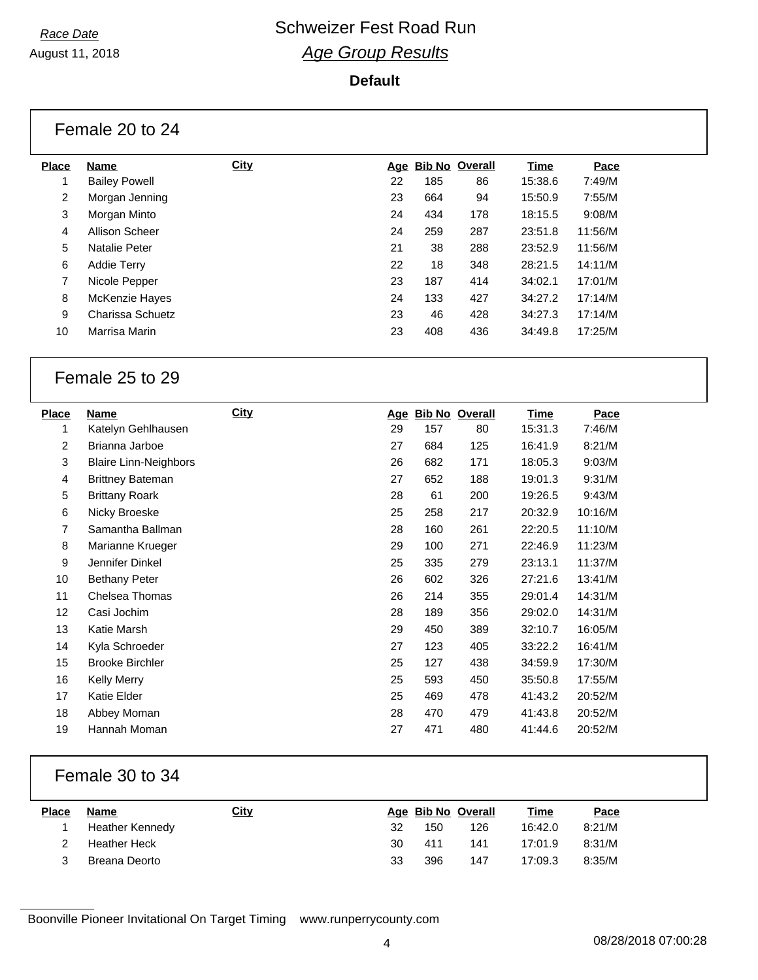August 11, 2018

### **Default**

|                | Female 20 to 24      |             |    |     |                    |         |         |  |
|----------------|----------------------|-------------|----|-----|--------------------|---------|---------|--|
| <b>Place</b>   | Name                 | <b>City</b> |    |     | Age Bib No Overall | Time    | Pace    |  |
| 1              | <b>Bailey Powell</b> |             | 22 | 185 | 86                 | 15:38.6 | 7:49/M  |  |
| $\overline{2}$ | Morgan Jenning       |             | 23 | 664 | 94                 | 15:50.9 | 7:55/M  |  |
| 3              | Morgan Minto         |             | 24 | 434 | 178                | 18:15.5 | 9:08/M  |  |
| 4              | Allison Scheer       |             | 24 | 259 | 287                | 23:51.8 | 11:56/M |  |
| 5              | <b>Natalie Peter</b> |             | 21 | 38  | 288                | 23:52.9 | 11:56/M |  |
| 6              | <b>Addie Terry</b>   |             | 22 | 18  | 348                | 28:21.5 | 14:11/M |  |
| $\overline{7}$ | Nicole Pepper        |             | 23 | 187 | 414                | 34:02.1 | 17:01/M |  |
| 8              | McKenzie Hayes       |             | 24 | 133 | 427                | 34:27.2 | 17:14/M |  |
| 9              | Charissa Schuetz     |             | 23 | 46  | 428                | 34:27.3 | 17:14/M |  |
| 10             | Marrisa Marin        |             | 23 | 408 | 436                | 34:49.8 | 17:25/M |  |

### Female 25 to 29

| <b>Place</b>   | Name                         | <b>City</b> |    |     | Age Bib No Overall | <u>Time</u> | Pace    |
|----------------|------------------------------|-------------|----|-----|--------------------|-------------|---------|
| 1              | Katelyn Gehlhausen           |             | 29 | 157 | 80                 | 15:31.3     | 7:46/M  |
| $\overline{2}$ | Brianna Jarboe               |             | 27 | 684 | 125                | 16:41.9     | 8:21/M  |
| 3              | <b>Blaire Linn-Neighbors</b> |             | 26 | 682 | 171                | 18:05.3     | 9:03/M  |
| 4              | <b>Brittney Bateman</b>      |             | 27 | 652 | 188                | 19:01.3     | 9:31/M  |
| 5              | <b>Brittany Roark</b>        |             | 28 | 61  | 200                | 19:26.5     | 9:43/M  |
| 6              | Nicky Broeske                |             | 25 | 258 | 217                | 20:32.9     | 10:16/M |
| 7              | Samantha Ballman             |             | 28 | 160 | 261                | 22:20.5     | 11:10/M |
| 8              | Marianne Krueger             |             | 29 | 100 | 271                | 22:46.9     | 11:23/M |
| 9              | Jennifer Dinkel              |             | 25 | 335 | 279                | 23:13.1     | 11:37/M |
| 10             | <b>Bethany Peter</b>         |             | 26 | 602 | 326                | 27:21.6     | 13:41/M |
| 11             | Chelsea Thomas               |             | 26 | 214 | 355                | 29:01.4     | 14:31/M |
| 12             | Casi Jochim                  |             | 28 | 189 | 356                | 29:02.0     | 14:31/M |
| 13             | Katie Marsh                  |             | 29 | 450 | 389                | 32:10.7     | 16:05/M |
| 14             | Kyla Schroeder               |             | 27 | 123 | 405                | 33:22.2     | 16:41/M |
| 15             | <b>Brooke Birchler</b>       |             | 25 | 127 | 438                | 34:59.9     | 17:30/M |
| 16             | Kelly Merry                  |             | 25 | 593 | 450                | 35:50.8     | 17:55/M |
| 17             | Katie Elder                  |             | 25 | 469 | 478                | 41:43.2     | 20:52/M |
| 18             | Abbey Moman                  |             | 28 | 470 | 479                | 41:43.8     | 20:52/M |
| 19             | Hannah Moman                 |             | 27 | 471 | 480                | 41:44.6     | 20:52/M |

### Female 30 to 34

| <b>Place</b> | Name            | <u>City</u> |    | Age Bib No Overall |     | <u>Time</u> | <u>Pace</u> |
|--------------|-----------------|-------------|----|--------------------|-----|-------------|-------------|
|              | Heather Kennedy |             | 32 | 150                | 126 | 16:42.0     | 8:21/M      |
|              | Heather Heck    |             | 30 | 411                | 141 | 17:01.9     | 8:31/M      |
|              | Breana Deorto   |             | 33 | 396                | 147 | 17:09.3     | 8:35/M      |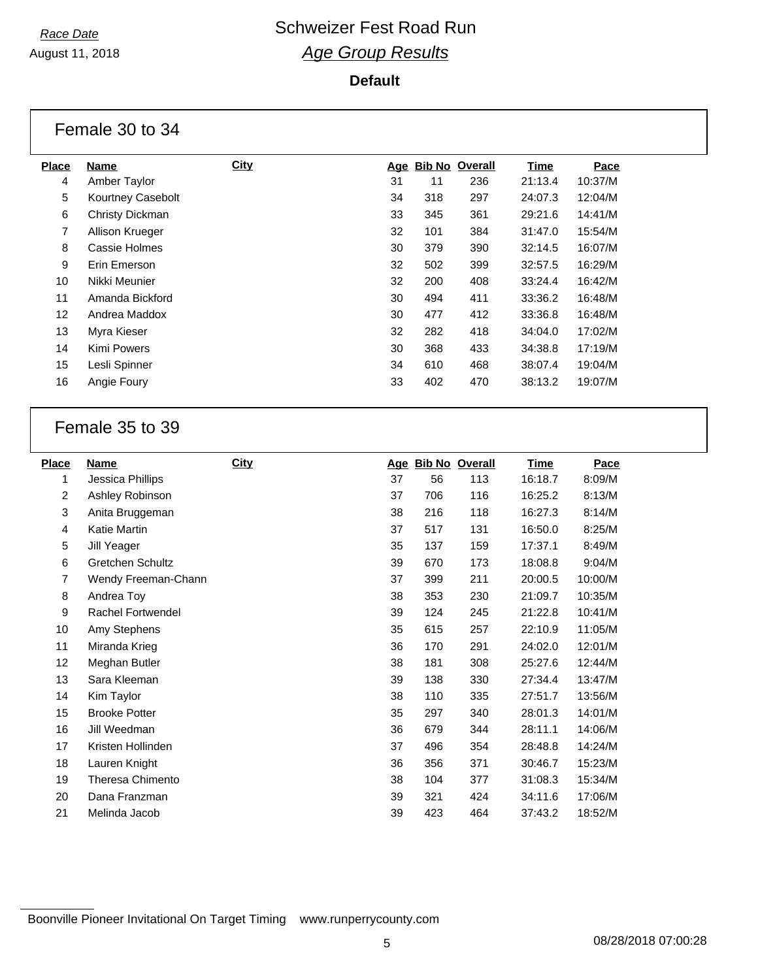August 11, 2018

#### **Default**

|                | Female 30 to 34   |             |    |     |                    |             |         |
|----------------|-------------------|-------------|----|-----|--------------------|-------------|---------|
| <b>Place</b>   | Name              | <b>City</b> |    |     | Age Bib No Overall | <b>Time</b> | Pace    |
| 4              | Amber Taylor      |             | 31 | 11  | 236                | 21:13.4     | 10:37/M |
| 5              | Kourtney Casebolt |             | 34 | 318 | 297                | 24:07.3     | 12:04/M |
| 6              | Christy Dickman   |             | 33 | 345 | 361                | 29:21.6     | 14:41/M |
| $\overline{7}$ | Allison Krueger   |             | 32 | 101 | 384                | 31:47.0     | 15:54/M |
| 8              | Cassie Holmes     |             | 30 | 379 | 390                | 32:14.5     | 16:07/M |
| 9              | Erin Emerson      |             | 32 | 502 | 399                | 32:57.5     | 16:29/M |
| 10             | Nikki Meunier     |             | 32 | 200 | 408                | 33:24.4     | 16:42/M |
| 11             | Amanda Bickford   |             | 30 | 494 | 411                | 33:36.2     | 16:48/M |
| 12             | Andrea Maddox     |             | 30 | 477 | 412                | 33:36.8     | 16:48/M |
| 13             | Myra Kieser       |             | 32 | 282 | 418                | 34:04.0     | 17:02/M |
| 14             | Kimi Powers       |             | 30 | 368 | 433                | 34:38.8     | 17:19/M |
| 15             | Lesli Spinner     |             | 34 | 610 | 468                | 38:07.4     | 19:04/M |
| 16             | Angie Foury       |             | 33 | 402 | 470                | 38:13.2     | 19:07/M |

### Female 35 to 39

| <b>Place</b> | Name                    | <b>City</b> |    | Age Bib No Overall |     | <b>Time</b> | Pace    |
|--------------|-------------------------|-------------|----|--------------------|-----|-------------|---------|
| 1            | Jessica Phillips        |             | 37 | 56                 | 113 | 16:18.7     | 8:09/M  |
| 2            | Ashley Robinson         |             | 37 | 706                | 116 | 16:25.2     | 8:13/M  |
| 3            | Anita Bruggeman         |             | 38 | 216                | 118 | 16:27.3     | 8:14/M  |
| 4            | Katie Martin            |             | 37 | 517                | 131 | 16:50.0     | 8:25/M  |
| 5            | Jill Yeager             |             | 35 | 137                | 159 | 17:37.1     | 8:49/M  |
| 6            | <b>Gretchen Schultz</b> |             | 39 | 670                | 173 | 18:08.8     | 9:04/M  |
| 7            | Wendy Freeman-Chann     |             | 37 | 399                | 211 | 20:00.5     | 10:00/M |
| 8            | Andrea Toy              |             | 38 | 353                | 230 | 21:09.7     | 10:35/M |
| 9            | Rachel Fortwendel       |             | 39 | 124                | 245 | 21:22.8     | 10:41/M |
| 10           | Amy Stephens            |             | 35 | 615                | 257 | 22:10.9     | 11:05/M |
| 11           | Miranda Krieg           |             | 36 | 170                | 291 | 24:02.0     | 12:01/M |
| 12           | Meghan Butler           |             | 38 | 181                | 308 | 25:27.6     | 12:44/M |
| 13           | Sara Kleeman            |             | 39 | 138                | 330 | 27:34.4     | 13:47/M |
| 14           | Kim Taylor              |             | 38 | 110                | 335 | 27:51.7     | 13:56/M |
| 15           | <b>Brooke Potter</b>    |             | 35 | 297                | 340 | 28:01.3     | 14:01/M |
| 16           | Jill Weedman            |             | 36 | 679                | 344 | 28:11.1     | 14:06/M |
| 17           | Kristen Hollinden       |             | 37 | 496                | 354 | 28:48.8     | 14:24/M |
| 18           | Lauren Knight           |             | 36 | 356                | 371 | 30:46.7     | 15:23/M |
| 19           | Theresa Chimento        |             | 38 | 104                | 377 | 31:08.3     | 15:34/M |
| 20           | Dana Franzman           |             | 39 | 321                | 424 | 34:11.6     | 17:06/M |
| 21           | Melinda Jacob           |             | 39 | 423                | 464 | 37:43.2     | 18:52/M |
|              |                         |             |    |                    |     |             |         |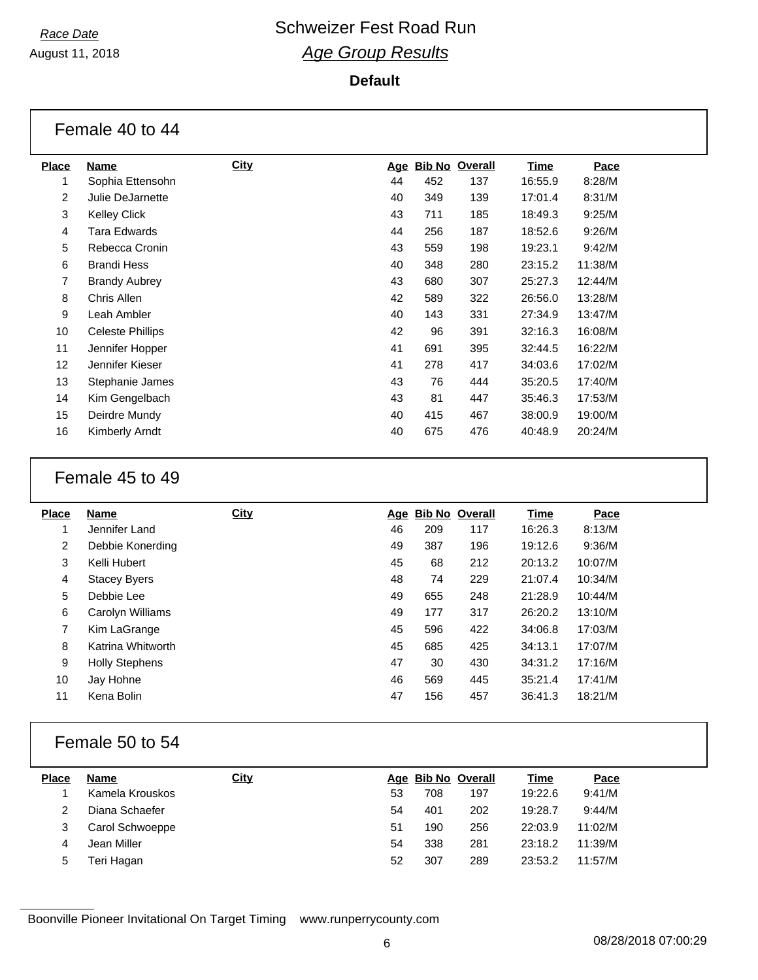August 11, 2018

#### **Default**

|                | Female 40 to 44      |             |    |     |                    |             |         |  |
|----------------|----------------------|-------------|----|-----|--------------------|-------------|---------|--|
| <b>Place</b>   | Name                 | <b>City</b> |    |     | Age Bib No Overall | <b>Time</b> | Pace    |  |
| 1              | Sophia Ettensohn     |             | 44 | 452 | 137                | 16:55.9     | 8:28/M  |  |
| 2              | Julie DeJarnette     |             | 40 | 349 | 139                | 17:01.4     | 8:31/M  |  |
| 3              | <b>Kelley Click</b>  |             | 43 | 711 | 185                | 18:49.3     | 9:25/M  |  |
| 4              | Tara Edwards         |             | 44 | 256 | 187                | 18:52.6     | 9:26/M  |  |
| 5              | Rebecca Cronin       |             | 43 | 559 | 198                | 19:23.1     | 9:42/M  |  |
| 6              | <b>Brandi Hess</b>   |             | 40 | 348 | 280                | 23:15.2     | 11:38/M |  |
| $\overline{7}$ | <b>Brandy Aubrey</b> |             | 43 | 680 | 307                | 25:27.3     | 12:44/M |  |
| 8              | Chris Allen          |             | 42 | 589 | 322                | 26:56.0     | 13:28/M |  |
| 9              | Leah Ambler          |             | 40 | 143 | 331                | 27:34.9     | 13:47/M |  |
| 10             | Celeste Phillips     |             | 42 | 96  | 391                | 32:16.3     | 16:08/M |  |
| 11             | Jennifer Hopper      |             | 41 | 691 | 395                | 32:44.5     | 16:22/M |  |
| 12             | Jennifer Kieser      |             | 41 | 278 | 417                | 34:03.6     | 17:02/M |  |
| 13             | Stephanie James      |             | 43 | 76  | 444                | 35:20.5     | 17:40/M |  |
| 14             | Kim Gengelbach       |             | 43 | 81  | 447                | 35:46.3     | 17:53/M |  |
| 15             | Deirdre Mundy        |             | 40 | 415 | 467                | 38:00.9     | 19:00/M |  |
| 16             | Kimberly Arndt       |             | 40 | 675 | 476                | 40:48.9     | 20:24/M |  |

### Female 45 to 49

| <b>Place</b>   | Name                  | <b>City</b> |    | Age Bib No Overall |     | <b>Time</b> | Pace    |
|----------------|-----------------------|-------------|----|--------------------|-----|-------------|---------|
|                | Jennifer Land         |             | 46 | 209                | 117 | 16:26.3     | 8:13/M  |
| $\overline{2}$ | Debbie Konerding      |             | 49 | 387                | 196 | 19:12.6     | 9:36/M  |
| 3              | Kelli Hubert          |             | 45 | 68                 | 212 | 20:13.2     | 10:07/M |
| 4              | <b>Stacey Byers</b>   |             | 48 | 74                 | 229 | 21:07.4     | 10:34/M |
| 5              | Debbie Lee            |             | 49 | 655                | 248 | 21:28.9     | 10:44/M |
| 6              | Carolyn Williams      |             | 49 | 177                | 317 | 26:20.2     | 13:10/M |
| 7              | Kim LaGrange          |             | 45 | 596                | 422 | 34:06.8     | 17:03/M |
| 8              | Katrina Whitworth     |             | 45 | 685                | 425 | 34:13.1     | 17:07/M |
| 9              | <b>Holly Stephens</b> |             | 47 | 30                 | 430 | 34:31.2     | 17:16/M |
| 10             | Jay Hohne             |             | 46 | 569                | 445 | 35:21.4     | 17:41/M |
| 11             | Kena Bolin            |             | 47 | 156                | 457 | 36:41.3     | 18:21/M |
|                |                       |             |    |                    |     |             |         |

### Female 50 to 54

| <b>Place</b> | Name            | <u>City</u> |    | Age Bib No Overall |     | Time    | Pace    |
|--------------|-----------------|-------------|----|--------------------|-----|---------|---------|
|              | Kamela Krouskos |             | 53 | 708                | 197 | 19:22.6 | 9:41/M  |
|              | Diana Schaefer  |             | 54 | 401                | 202 | 19:28.7 | 9:44/M  |
|              | Carol Schwoeppe |             | 51 | 190                | 256 | 22:03.9 | 11:02/M |
| 4            | Jean Miller     |             | 54 | 338                | 281 | 23:18.2 | 11:39/M |
| 5            | Teri Hagan      |             | 52 | 307                | 289 | 23:53.2 | 11:57/M |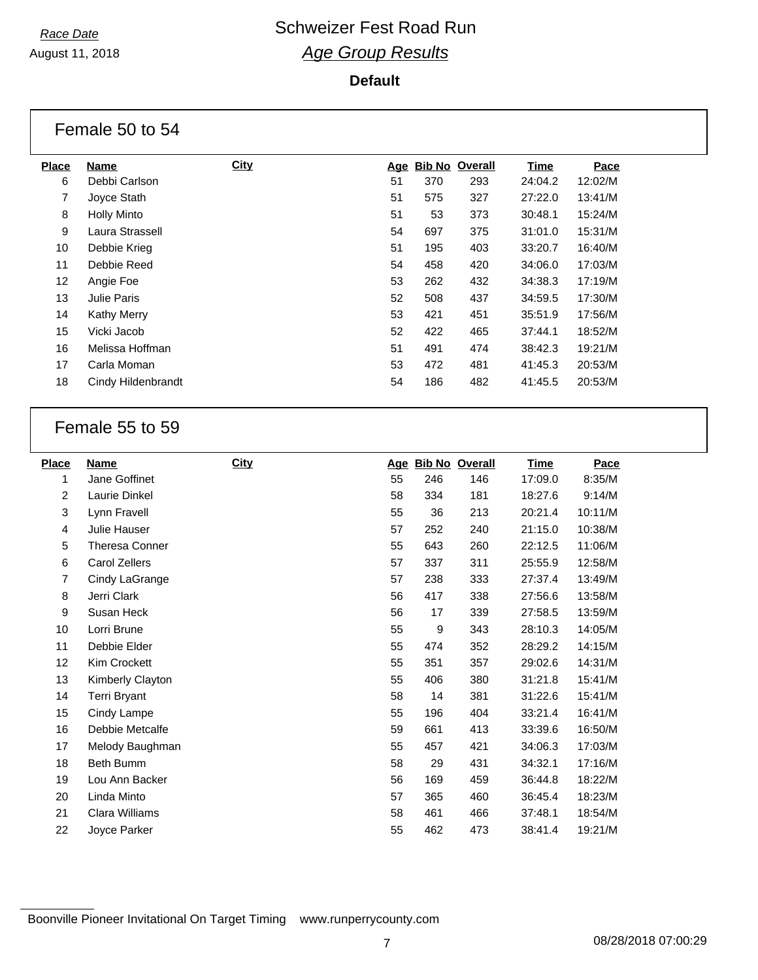August 11, 2018

#### **Default**

|                 | Female 50 to 54    |             |            |     |                       |             |         |  |
|-----------------|--------------------|-------------|------------|-----|-----------------------|-------------|---------|--|
| <b>Place</b>    | <b>Name</b>        | <b>City</b> | <u>Age</u> |     | <b>Bib No Overall</b> | <b>Time</b> | Pace    |  |
| 6               | Debbi Carlson      |             | 51         | 370 | 293                   | 24:04.2     | 12:02/M |  |
| $\overline{7}$  | Joyce Stath        |             | 51         | 575 | 327                   | 27:22.0     | 13:41/M |  |
| 8               | <b>Holly Minto</b> |             | 51         | 53  | 373                   | 30:48.1     | 15:24/M |  |
| 9               | Laura Strassell    |             | 54         | 697 | 375                   | 31:01.0     | 15:31/M |  |
| 10              | Debbie Krieg       |             | 51         | 195 | 403                   | 33:20.7     | 16:40/M |  |
| 11              | Debbie Reed        |             | 54         | 458 | 420                   | 34:06.0     | 17:03/M |  |
| 12 <sub>2</sub> | Angie Foe          |             | 53         | 262 | 432                   | 34:38.3     | 17:19/M |  |
| 13              | Julie Paris        |             | 52         | 508 | 437                   | 34:59.5     | 17:30/M |  |
| 14              | <b>Kathy Merry</b> |             | 53         | 421 | 451                   | 35:51.9     | 17:56/M |  |
| 15              | Vicki Jacob        |             | 52         | 422 | 465                   | 37:44.1     | 18:52/M |  |
| 16              | Melissa Hoffman    |             | 51         | 491 | 474                   | 38:42.3     | 19:21/M |  |
| 17              | Carla Moman        |             | 53         | 472 | 481                   | 41:45.3     | 20:53/M |  |
| 18              | Cindy Hildenbrandt |             | 54         | 186 | 482                   | 41:45.5     | 20:53/M |  |

### Female 55 to 59

| <b>Place</b> | <b>Name</b>           | <b>City</b> |    | Age Bib No Overall |     | <b>Time</b> | Pace    |
|--------------|-----------------------|-------------|----|--------------------|-----|-------------|---------|
| 1            | Jane Goffinet         |             | 55 | 246                | 146 | 17:09.0     | 8:35/M  |
| 2            | Laurie Dinkel         |             | 58 | 334                | 181 | 18:27.6     | 9:14/M  |
| 3            | Lynn Fravell          |             | 55 | 36                 | 213 | 20:21.4     | 10:11/M |
| 4            | Julie Hauser          |             | 57 | 252                | 240 | 21:15.0     | 10:38/M |
| 5            | <b>Theresa Conner</b> |             | 55 | 643                | 260 | 22:12.5     | 11:06/M |
| 6            | Carol Zellers         |             | 57 | 337                | 311 | 25:55.9     | 12:58/M |
| 7            | Cindy LaGrange        |             | 57 | 238                | 333 | 27:37.4     | 13:49/M |
| 8            | Jerri Clark           |             | 56 | 417                | 338 | 27:56.6     | 13:58/M |
| 9            | Susan Heck            |             | 56 | 17                 | 339 | 27:58.5     | 13:59/M |
| 10           | Lorri Brune           |             | 55 | 9                  | 343 | 28:10.3     | 14:05/M |
| 11           | Debbie Elder          |             | 55 | 474                | 352 | 28:29.2     | 14:15/M |
| 12           | Kim Crockett          |             | 55 | 351                | 357 | 29:02.6     | 14:31/M |
| 13           | Kimberly Clayton      |             | 55 | 406                | 380 | 31:21.8     | 15:41/M |
| 14           | <b>Terri Bryant</b>   |             | 58 | 14                 | 381 | 31:22.6     | 15:41/M |
| 15           | Cindy Lampe           |             | 55 | 196                | 404 | 33:21.4     | 16:41/M |
| 16           | Debbie Metcalfe       |             | 59 | 661                | 413 | 33:39.6     | 16:50/M |
| 17           | Melody Baughman       |             | 55 | 457                | 421 | 34:06.3     | 17:03/M |
| 18           | Beth Bumm             |             | 58 | 29                 | 431 | 34:32.1     | 17:16/M |
| 19           | Lou Ann Backer        |             | 56 | 169                | 459 | 36:44.8     | 18:22/M |
| 20           | Linda Minto           |             | 57 | 365                | 460 | 36:45.4     | 18:23/M |
| 21           | Clara Williams        |             | 58 | 461                | 466 | 37:48.1     | 18:54/M |
| 22           | Joyce Parker          |             | 55 | 462                | 473 | 38:41.4     | 19:21/M |
|              |                       |             |    |                    |     |             |         |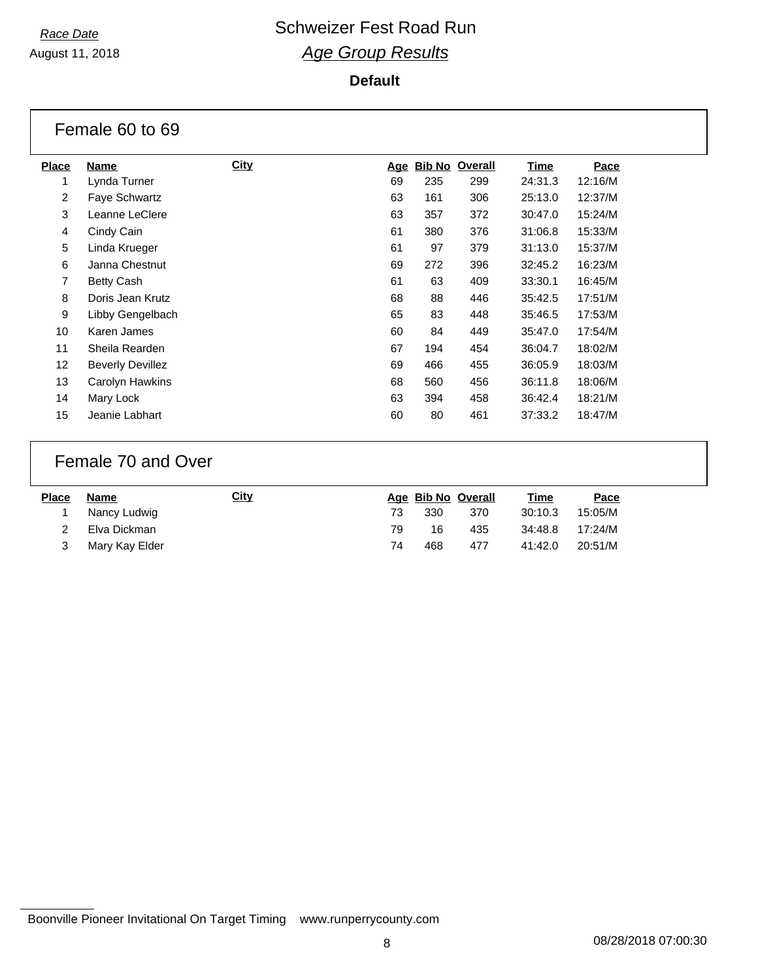August 11, 2018

#### **Default**

|                 | Female 60 to 69         |      |            |     |                       |         |         |  |  |  |  |
|-----------------|-------------------------|------|------------|-----|-----------------------|---------|---------|--|--|--|--|
| <b>Place</b>    | <b>Name</b>             | City | <u>Age</u> |     | <b>Bib No Overall</b> | Time    | Pace    |  |  |  |  |
| 1               | Lynda Turner            |      | 69         | 235 | 299                   | 24:31.3 | 12:16/M |  |  |  |  |
| $\overline{2}$  | Faye Schwartz           |      | 63         | 161 | 306                   | 25:13.0 | 12:37/M |  |  |  |  |
| 3               | Leanne LeClere          |      | 63         | 357 | 372                   | 30:47.0 | 15:24/M |  |  |  |  |
| 4               | Cindy Cain              |      | 61         | 380 | 376                   | 31:06.8 | 15:33/M |  |  |  |  |
| 5               | Linda Krueger           |      | 61         | 97  | 379                   | 31:13.0 | 15:37/M |  |  |  |  |
| 6               | Janna Chestnut          |      | 69         | 272 | 396                   | 32:45.2 | 16:23/M |  |  |  |  |
| $\overline{7}$  | Betty Cash              |      | 61         | 63  | 409                   | 33:30.1 | 16:45/M |  |  |  |  |
| 8               | Doris Jean Krutz        |      | 68         | 88  | 446                   | 35:42.5 | 17:51/M |  |  |  |  |
| 9               | Libby Gengelbach        |      | 65         | 83  | 448                   | 35:46.5 | 17:53/M |  |  |  |  |
| 10              | Karen James             |      | 60         | 84  | 449                   | 35:47.0 | 17:54/M |  |  |  |  |
| 11              | Sheila Rearden          |      | 67         | 194 | 454                   | 36:04.7 | 18:02/M |  |  |  |  |
| 12 <sup>°</sup> | <b>Beverly Devillez</b> |      | 69         | 466 | 455                   | 36:05.9 | 18:03/M |  |  |  |  |
| 13              | Carolyn Hawkins         |      | 68         | 560 | 456                   | 36:11.8 | 18:06/M |  |  |  |  |
| 14              | Mary Lock               |      | 63         | 394 | 458                   | 36:42.4 | 18:21/M |  |  |  |  |
| 15              | Jeanie Labhart          |      | 60         | 80  | 461                   | 37:33.2 | 18:47/M |  |  |  |  |
|                 |                         |      |            |     |                       |         |         |  |  |  |  |

### Female 70 and Over

| <b>Place</b> | Name           | <u>City</u> |     | Age Bib No Overall |     | Time    | <u>Pace</u> |
|--------------|----------------|-------------|-----|--------------------|-----|---------|-------------|
|              | Nancy Ludwig   |             | 73. | 330                | 370 | 30:10.3 | 15:05/M     |
|              | Elva Dickman   |             | 79  | 16                 | 435 | 34:48.8 | 17:24/M     |
| 3            | Mary Kay Elder |             | 74  | 468                | 477 | 41:42.0 | 20:51/M     |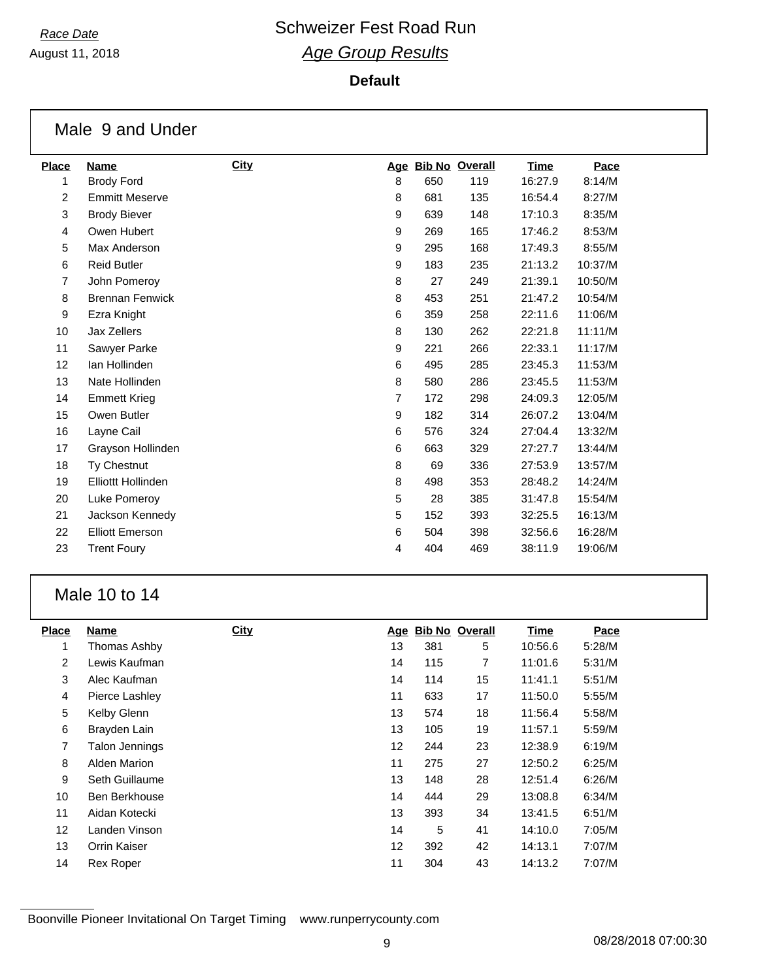August 11, 2018

#### **Default**

|                | Male 9 and Under          |      |                |     |                    |         |         |
|----------------|---------------------------|------|----------------|-----|--------------------|---------|---------|
| <b>Place</b>   | <b>Name</b>               | City |                |     | Age Bib No Overall | Time    | Pace    |
| 1              | <b>Brody Ford</b>         |      | 8              | 650 | 119                | 16:27.9 | 8:14/M  |
| 2              | <b>Emmitt Meserve</b>     |      | 8              | 681 | 135                | 16:54.4 | 8:27/M  |
| 3              | <b>Brody Biever</b>       |      | 9              | 639 | 148                | 17:10.3 | 8:35/M  |
| 4              | Owen Hubert               |      | 9              | 269 | 165                | 17:46.2 | 8:53/M  |
| 5              | Max Anderson              |      | 9              | 295 | 168                | 17:49.3 | 8:55/M  |
| 6              | <b>Reid Butler</b>        |      | 9              | 183 | 235                | 21:13.2 | 10:37/M |
| $\overline{7}$ | John Pomeroy              |      | 8              | 27  | 249                | 21:39.1 | 10:50/M |
| 8              | <b>Brennan Fenwick</b>    |      | 8              | 453 | 251                | 21:47.2 | 10:54/M |
| 9              | Ezra Knight               |      | 6              | 359 | 258                | 22:11.6 | 11:06/M |
| 10             | <b>Jax Zellers</b>        |      | 8              | 130 | 262                | 22:21.8 | 11:11/M |
| 11             | Sawyer Parke              |      | 9              | 221 | 266                | 22:33.1 | 11:17/M |
| 12             | Ian Hollinden             |      | 6              | 495 | 285                | 23:45.3 | 11:53/M |
| 13             | Nate Hollinden            |      | 8              | 580 | 286                | 23:45.5 | 11:53/M |
| 14             | <b>Emmett Krieg</b>       |      | $\overline{7}$ | 172 | 298                | 24:09.3 | 12:05/M |
| 15             | Owen Butler               |      | 9              | 182 | 314                | 26:07.2 | 13:04/M |
| 16             | Layne Cail                |      | 6              | 576 | 324                | 27:04.4 | 13:32/M |
| 17             | Grayson Hollinden         |      | 6              | 663 | 329                | 27:27.7 | 13:44/M |
| 18             | Ty Chestnut               |      | 8              | 69  | 336                | 27:53.9 | 13:57/M |
| 19             | <b>Elliottt Hollinden</b> |      | 8              | 498 | 353                | 28:48.2 | 14:24/M |
| 20             | Luke Pomeroy              |      | 5              | 28  | 385                | 31:47.8 | 15:54/M |
| 21             | Jackson Kennedy           |      | 5              | 152 | 393                | 32:25.5 | 16:13/M |
| 22             | <b>Elliott Emerson</b>    |      | 6              | 504 | 398                | 32:56.6 | 16:28/M |
| 23             | <b>Trent Foury</b>        |      | 4              | 404 | 469                | 38:11.9 | 19:06/M |

### Male 10 to 14

| <b>Place</b>      | Name             | <b>City</b> |    |     | Age Bib No Overall | Time    | Pace   |
|-------------------|------------------|-------------|----|-----|--------------------|---------|--------|
| 1                 | Thomas Ashby     |             | 13 | 381 | 5                  | 10:56.6 | 5:28/M |
| $\overline{2}$    | Lewis Kaufman    |             | 14 | 115 | 7                  | 11:01.6 | 5:31/M |
| 3                 | Alec Kaufman     |             | 14 | 114 | 15                 | 11:41.1 | 5:51/M |
| 4                 | Pierce Lashley   |             | 11 | 633 | 17                 | 11:50.0 | 5:55/M |
| 5                 | Kelby Glenn      |             | 13 | 574 | 18                 | 11:56.4 | 5:58/M |
| 6                 | Brayden Lain     |             | 13 | 105 | 19                 | 11:57.1 | 5:59/M |
| 7                 | Talon Jennings   |             | 12 | 244 | 23                 | 12:38.9 | 6:19/M |
| 8                 | Alden Marion     |             | 11 | 275 | 27                 | 12:50.2 | 6:25/M |
| 9                 | Seth Guillaume   |             | 13 | 148 | 28                 | 12:51.4 | 6:26/M |
| 10                | Ben Berkhouse    |             | 14 | 444 | 29                 | 13:08.8 | 6:34/M |
| 11                | Aidan Kotecki    |             | 13 | 393 | 34                 | 13:41.5 | 6:51/M |
| $12 \overline{ }$ | Landen Vinson    |             | 14 | 5   | 41                 | 14:10.0 | 7:05/M |
| 13                | Orrin Kaiser     |             | 12 | 392 | 42                 | 14:13.1 | 7:07/M |
| 14                | <b>Rex Roper</b> |             | 11 | 304 | 43                 | 14:13.2 | 7:07/M |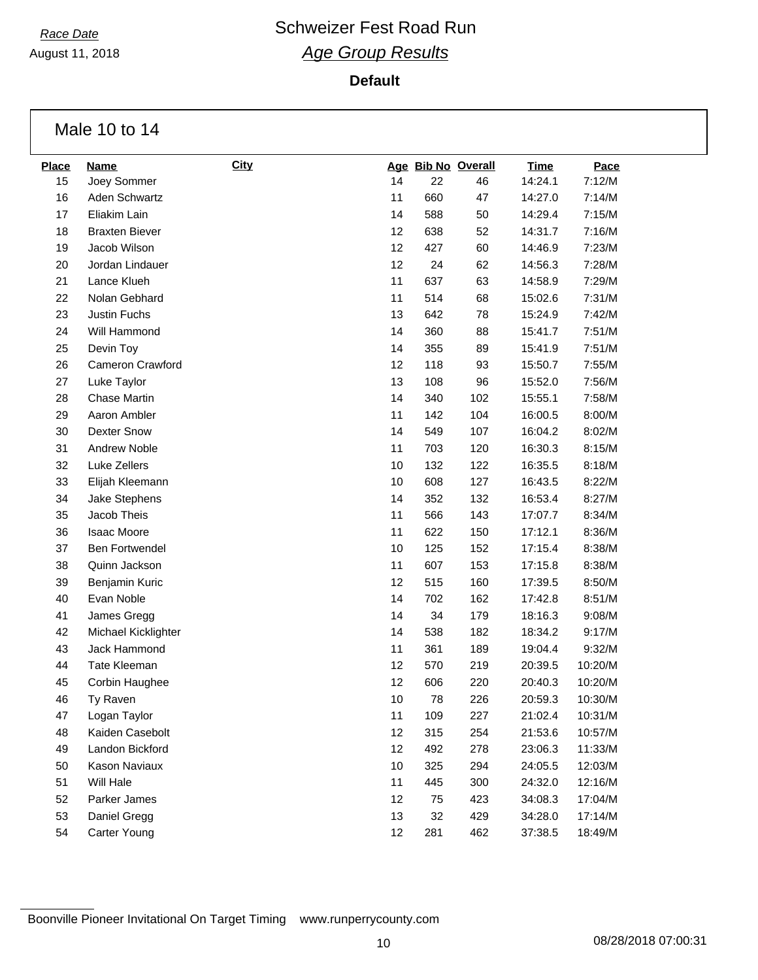August 11, 2018

**Default**

Male 10 to 14

| <b>Place</b> | <b>Name</b>           | <b>City</b> |    | Age Bib No Overall |     | <b>Time</b> | Pace    |
|--------------|-----------------------|-------------|----|--------------------|-----|-------------|---------|
| 15           | Joey Sommer           |             | 14 | 22                 | 46  | 14:24.1     | 7:12/M  |
| 16           | Aden Schwartz         |             | 11 | 660                | 47  | 14:27.0     | 7:14/M  |
| 17           | Eliakim Lain          |             | 14 | 588                | 50  | 14:29.4     | 7:15/M  |
| 18           | <b>Braxten Biever</b> |             | 12 | 638                | 52  | 14:31.7     | 7:16/M  |
| 19           | Jacob Wilson          |             | 12 | 427                | 60  | 14:46.9     | 7:23/M  |
| 20           | Jordan Lindauer       |             | 12 | 24                 | 62  | 14:56.3     | 7:28/M  |
| 21           | Lance Klueh           |             | 11 | 637                | 63  | 14:58.9     | 7:29/M  |
| 22           | Nolan Gebhard         |             | 11 | 514                | 68  | 15:02.6     | 7:31/M  |
| 23           | Justin Fuchs          |             | 13 | 642                | 78  | 15:24.9     | 7:42/M  |
| 24           | Will Hammond          |             | 14 | 360                | 88  | 15:41.7     | 7:51/M  |
| 25           | Devin Toy             |             | 14 | 355                | 89  | 15:41.9     | 7:51/M  |
| 26           | Cameron Crawford      |             | 12 | 118                | 93  | 15:50.7     | 7:55/M  |
| 27           | Luke Taylor           |             | 13 | 108                | 96  | 15:52.0     | 7:56/M  |
| 28           | <b>Chase Martin</b>   |             | 14 | 340                | 102 | 15:55.1     | 7:58/M  |
| 29           | Aaron Ambler          |             | 11 | 142                | 104 | 16:00.5     | 8:00/M  |
| 30           | <b>Dexter Snow</b>    |             | 14 | 549                | 107 | 16:04.2     | 8:02/M  |
| 31           | Andrew Noble          |             | 11 | 703                | 120 | 16:30.3     | 8:15/M  |
| 32           | Luke Zellers          |             | 10 | 132                | 122 | 16:35.5     | 8:18/M  |
| 33           | Elijah Kleemann       |             | 10 | 608                | 127 | 16:43.5     | 8:22/M  |
| 34           | Jake Stephens         |             | 14 | 352                | 132 | 16:53.4     | 8:27/M  |
| 35           | Jacob Theis           |             | 11 | 566                | 143 | 17:07.7     | 8:34/M  |
| 36           | <b>Isaac Moore</b>    |             | 11 | 622                | 150 | 17:12.1     | 8:36/M  |
| 37           | <b>Ben Fortwendel</b> |             | 10 | 125                | 152 | 17:15.4     | 8:38/M  |
| 38           | Quinn Jackson         |             | 11 | 607                | 153 | 17:15.8     | 8:38/M  |
| 39           | Benjamin Kuric        |             | 12 | 515                | 160 | 17:39.5     | 8:50/M  |
| 40           | Evan Noble            |             | 14 | 702                | 162 | 17:42.8     | 8:51/M  |
| 41           | James Gregg           |             | 14 | 34                 | 179 | 18:16.3     | 9:08/M  |
| 42           | Michael Kicklighter   |             | 14 | 538                | 182 | 18:34.2     | 9:17/M  |
| 43           | Jack Hammond          |             | 11 | 361                | 189 | 19:04.4     | 9:32/M  |
| 44           | Tate Kleeman          |             | 12 | 570                | 219 | 20:39.5     | 10:20/M |
| 45           | Corbin Haughee        |             | 12 | 606                | 220 | 20:40.3     | 10:20/M |
| 46           | Ty Raven              |             | 10 | 78                 | 226 | 20:59.3     | 10:30/M |
| 47           | Logan Taylor          |             | 11 | 109                | 227 | 21:02.4     | 10:31/M |
| 48           | Kaiden Casebolt       |             | 12 | 315                | 254 | 21:53.6     | 10:57/M |
| 49           | Landon Bickford       |             | 12 | 492                | 278 | 23:06.3     | 11:33/M |
| 50           | Kason Naviaux         |             | 10 | 325                | 294 | 24:05.5     | 12:03/M |
| 51           | Will Hale             |             | 11 | 445                | 300 | 24:32.0     | 12:16/M |
| 52           | Parker James          |             | 12 | 75                 | 423 | 34:08.3     | 17:04/M |
| 53           | Daniel Gregg          |             | 13 | 32                 | 429 | 34:28.0     | 17:14/M |
| 54           | Carter Young          |             | 12 | 281                | 462 | 37:38.5     | 18:49/M |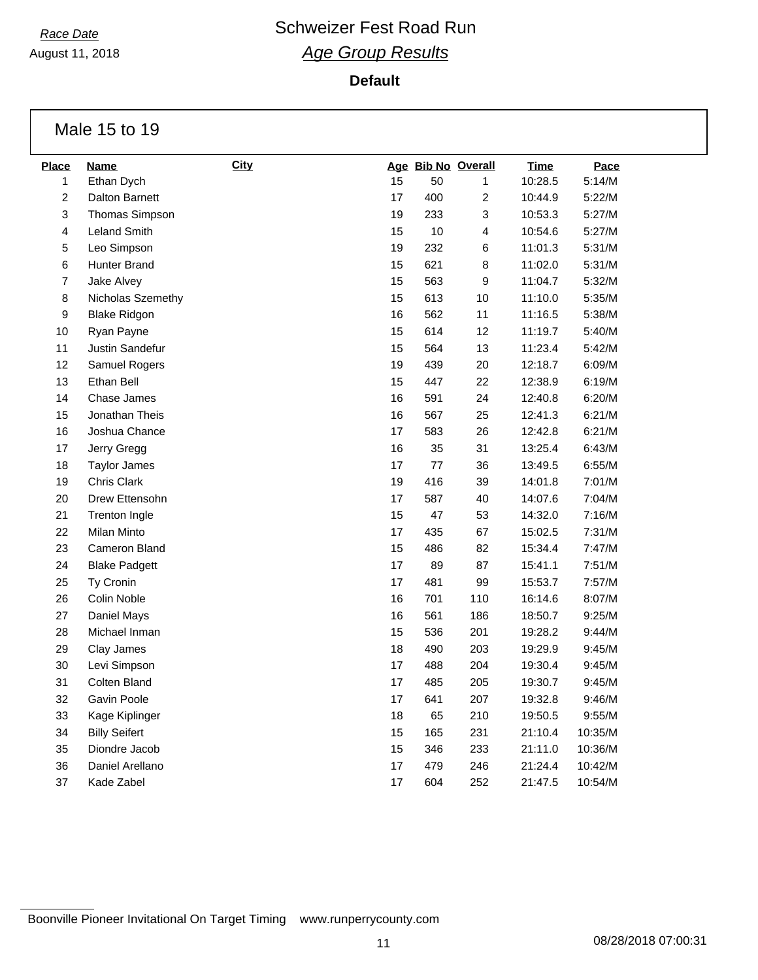August 11, 2018

**Default**

Male 15 to 19

| <b>Place</b>   | <b>Name</b>           | <b>City</b> |    |      | Age Bib No Overall | <b>Time</b> | Pace    |
|----------------|-----------------------|-------------|----|------|--------------------|-------------|---------|
| 1              | Ethan Dych            |             | 15 | 50   | 1                  | 10:28.5     | 5:14/M  |
| $\overline{c}$ | Dalton Barnett        |             | 17 | 400  | $\overline{c}$     | 10:44.9     | 5:22/M  |
| 3              | <b>Thomas Simpson</b> |             | 19 | 233  | 3                  | 10:53.3     | 5:27/M  |
| 4              | Leland Smith          |             | 15 | $10$ | 4                  | 10:54.6     | 5:27/M  |
| 5              | Leo Simpson           |             | 19 | 232  | 6                  | 11:01.3     | 5:31/M  |
| 6              | Hunter Brand          |             | 15 | 621  | 8                  | 11:02.0     | 5:31/M  |
| $\overline{7}$ | Jake Alvey            |             | 15 | 563  | 9                  | 11:04.7     | 5:32/M  |
| 8              | Nicholas Szemethy     |             | 15 | 613  | 10                 | 11:10.0     | 5:35/M  |
| 9              | <b>Blake Ridgon</b>   |             | 16 | 562  | 11                 | 11:16.5     | 5:38/M  |
| 10             | Ryan Payne            |             | 15 | 614  | 12                 | 11:19.7     | 5:40/M  |
| 11             | Justin Sandefur       |             | 15 | 564  | 13                 | 11:23.4     | 5:42/M  |
| 12             | Samuel Rogers         |             | 19 | 439  | 20                 | 12:18.7     | 6:09/M  |
| 13             | Ethan Bell            |             | 15 | 447  | 22                 | 12:38.9     | 6:19/M  |
| 14             | <b>Chase James</b>    |             | 16 | 591  | 24                 | 12:40.8     | 6:20/M  |
| 15             | Jonathan Theis        |             | 16 | 567  | 25                 | 12:41.3     | 6:21/M  |
| 16             | Joshua Chance         |             | 17 | 583  | 26                 | 12:42.8     | 6:21/M  |
| 17             | Jerry Gregg           |             | 16 | 35   | 31                 | 13:25.4     | 6:43/M  |
| 18             | <b>Taylor James</b>   |             | 17 | 77   | 36                 | 13:49.5     | 6:55/M  |
| 19             | Chris Clark           |             | 19 | 416  | 39                 | 14:01.8     | 7:01/M  |
| 20             | Drew Ettensohn        |             | 17 | 587  | 40                 | 14:07.6     | 7:04/M  |
| 21             | <b>Trenton Ingle</b>  |             | 15 | 47   | 53                 | 14:32.0     | 7:16/M  |
| 22             | <b>Milan Minto</b>    |             | 17 | 435  | 67                 | 15:02.5     | 7:31/M  |
| 23             | <b>Cameron Bland</b>  |             | 15 | 486  | 82                 | 15:34.4     | 7:47/M  |
| 24             | <b>Blake Padgett</b>  |             | 17 | 89   | 87                 | 15:41.1     | 7:51/M  |
| 25             | Ty Cronin             |             | 17 | 481  | 99                 | 15:53.7     | 7:57/M  |
| 26             | Colin Noble           |             | 16 | 701  | 110                | 16:14.6     | 8:07/M  |
| 27             | Daniel Mays           |             | 16 | 561  | 186                | 18:50.7     | 9:25/M  |
| 28             | Michael Inman         |             | 15 | 536  | 201                | 19:28.2     | 9:44/M  |
| 29             | Clay James            |             | 18 | 490  | 203                | 19:29.9     | 9:45/M  |
| 30             | Levi Simpson          |             | 17 | 488  | 204                | 19:30.4     | 9:45/M  |
| 31             | Colten Bland          |             | 17 | 485  | 205                | 19:30.7     | 9:45/M  |
| 32             | Gavin Poole           |             | 17 | 641  | 207                | 19:32.8     | 9:46/M  |
| 33             | Kage Kiplinger        |             | 18 | 65   | 210                | 19:50.5     | 9:55/M  |
| 34             | <b>Billy Seifert</b>  |             | 15 | 165  | 231                | 21:10.4     | 10:35/M |
| 35             | Diondre Jacob         |             | 15 | 346  | 233                | 21:11.0     | 10:36/M |
| 36             | Daniel Arellano       |             | 17 | 479  | 246                | 21:24.4     | 10:42/M |
| 37             | Kade Zabel            |             | 17 | 604  | 252                | 21:47.5     | 10:54/M |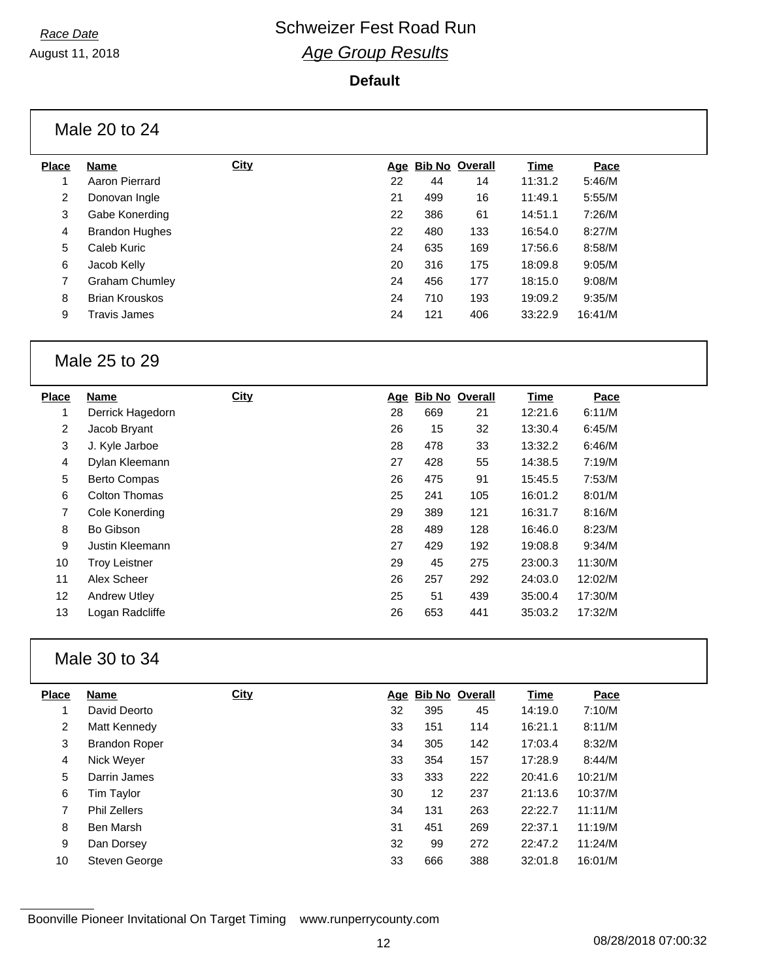August 11, 2018

#### **Default**

| Male 20 to 24 |  |  |
|---------------|--|--|
|               |  |  |

| Place | <b>Name</b>           | <b>City</b> |    |     | Age Bib No Overall | Time    | Pace    |
|-------|-----------------------|-------------|----|-----|--------------------|---------|---------|
| 1     | Aaron Pierrard        |             | 22 | 44  | 14                 | 11:31.2 | 5:46/M  |
| 2     | Donovan Ingle         |             | 21 | 499 | 16                 | 11:49.1 | 5:55/M  |
| 3     | Gabe Konerding        |             | 22 | 386 | 61                 | 14:51.1 | 7:26/M  |
| 4     | <b>Brandon Hughes</b> |             | 22 | 480 | 133                | 16:54.0 | 8:27/M  |
| 5     | Caleb Kuric           |             | 24 | 635 | 169                | 17:56.6 | 8:58/M  |
| 6     | Jacob Kelly           |             | 20 | 316 | 175                | 18:09.8 | 9:05/M  |
| 7     | Graham Chumley        |             | 24 | 456 | 177                | 18:15.0 | 9:08/M  |
| 8     | <b>Brian Krouskos</b> |             | 24 | 710 | 193                | 19:09.2 | 9:35/M  |
| 9     | Travis James          |             | 24 | 121 | 406                | 33:22.9 | 16:41/M |
|       |                       |             |    |     |                    |         |         |

### Male 25 to 29

| <b>Place</b> | Name                 | <b>City</b> |    | Age Bib No Overall |     | <b>Time</b> | Pace    |
|--------------|----------------------|-------------|----|--------------------|-----|-------------|---------|
| 1            | Derrick Hagedorn     |             | 28 | 669                | 21  | 12:21.6     | 6:11/M  |
| 2            | Jacob Bryant         |             | 26 | 15                 | 32  | 13:30.4     | 6:45/M  |
| 3            | J. Kyle Jarboe       |             | 28 | 478                | 33  | 13:32.2     | 6:46/M  |
| 4            | Dylan Kleemann       |             | 27 | 428                | 55  | 14:38.5     | 7:19/M  |
| 5            | <b>Berto Compas</b>  |             | 26 | 475                | 91  | 15:45.5     | 7:53/M  |
| 6            | <b>Colton Thomas</b> |             | 25 | 241                | 105 | 16:01.2     | 8:01/M  |
| 7            | Cole Konerding       |             | 29 | 389                | 121 | 16:31.7     | 8:16/M  |
| 8            | Bo Gibson            |             | 28 | 489                | 128 | 16:46.0     | 8:23/M  |
| 9            | Justin Kleemann      |             | 27 | 429                | 192 | 19:08.8     | 9:34/M  |
| 10           | <b>Troy Leistner</b> |             | 29 | 45                 | 275 | 23:00.3     | 11:30/M |
| 11           | Alex Scheer          |             | 26 | 257                | 292 | 24:03.0     | 12:02/M |
| 12           | <b>Andrew Utley</b>  |             | 25 | 51                 | 439 | 35:00.4     | 17:30/M |
| 13           | Logan Radcliffe      |             | 26 | 653                | 441 | 35:03.2     | 17:32/M |
|              |                      |             |    |                    |     |             |         |

### Male 30 to 34

| <b>Name</b>          | <b>City</b> |    |     |     | Time               | Pace    |
|----------------------|-------------|----|-----|-----|--------------------|---------|
| David Deorto         |             | 32 | 395 | 45  | 14:19.0            | 7:10/M  |
| Matt Kennedy         |             | 33 | 151 | 114 | 16:21.1            | 8:11/M  |
| <b>Brandon Roper</b> |             | 34 | 305 | 142 | 17:03.4            | 8:32/M  |
| Nick Weyer           |             | 33 | 354 | 157 | 17:28.9            | 8:44/M  |
| Darrin James         |             | 33 | 333 | 222 | 20:41.6            | 10:21/M |
| Tim Taylor           |             | 30 | 12  | 237 | 21:13.6            | 10:37/M |
| <b>Phil Zellers</b>  |             | 34 | 131 | 263 | 22:22.7            | 11:11/M |
| Ben Marsh            |             | 31 | 451 | 269 | 22:37.1            | 11:19/M |
| Dan Dorsey           |             | 32 | 99  | 272 | 22:47.2            | 11:24/M |
| Steven George        |             | 33 | 666 | 388 | 32:01.8            | 16:01/M |
|                      |             |    |     |     | Age Bib No Overall |         |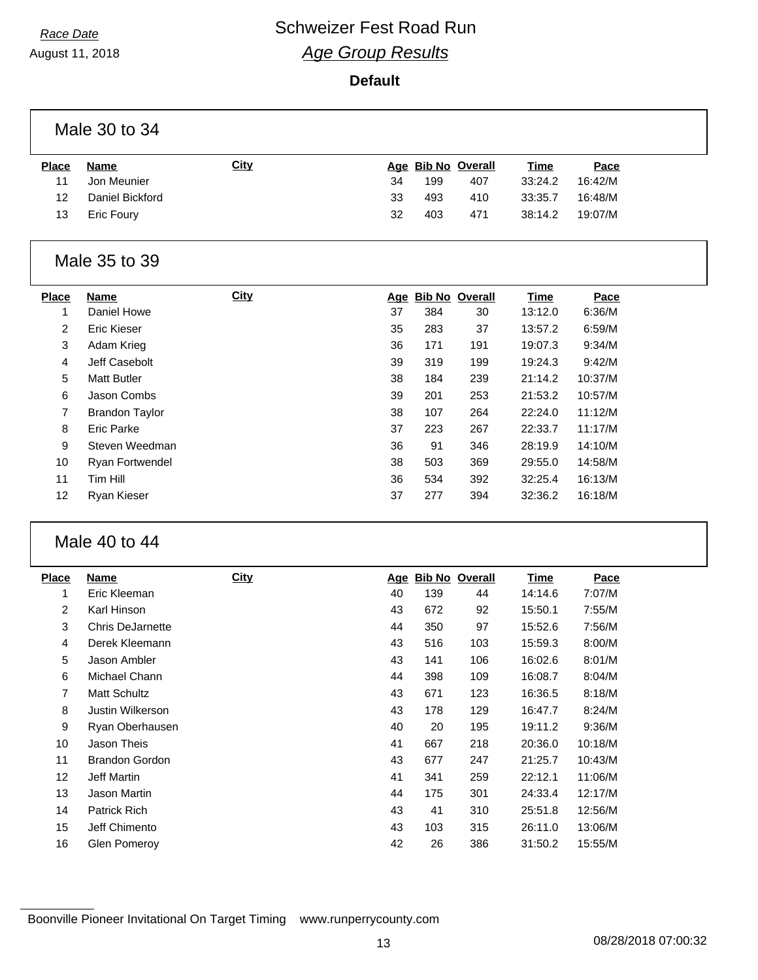August 11, 2018

#### **Default**

| Male 30 to 34  |                       |             |    |     |                    |             |         |
|----------------|-----------------------|-------------|----|-----|--------------------|-------------|---------|
| <b>Place</b>   | <b>Name</b>           | <b>City</b> |    |     | Age Bib No Overall | <b>Time</b> | Pace    |
| 11             | Jon Meunier           |             | 34 | 199 | 407                | 33:24.2     | 16:42/M |
| 12             | Daniel Bickford       |             | 33 | 493 | 410                | 33:35.7     | 16:48/M |
| 13             | Eric Foury            |             | 32 | 403 | 471                | 38:14.2     | 19:07/M |
|                | Male 35 to 39         |             |    |     |                    |             |         |
| <b>Place</b>   | <b>Name</b>           | <b>City</b> |    |     | Age Bib No Overall | <b>Time</b> | Pace    |
| 1              | Daniel Howe           |             | 37 | 384 | 30                 | 13:12.0     | 6:36/M  |
| 2              | <b>Eric Kieser</b>    |             | 35 | 283 | 37                 | 13:57.2     | 6:59/M  |
| 3              | Adam Krieg            |             | 36 | 171 | 191                | 19:07.3     | 9:34/M  |
| 4              | Jeff Casebolt         |             | 39 | 319 | 199                | 19:24.3     | 9:42/M  |
| 5              | <b>Matt Butler</b>    |             | 38 | 184 | 239                | 21:14.2     | 10:37/M |
| $\,6\,$        | Jason Combs           |             | 39 | 201 | 253                | 21:53.2     | 10:57/M |
| $\overline{7}$ | <b>Brandon Taylor</b> |             | 38 | 107 | 264                | 22:24.0     | 11:12/M |
| 8              | Eric Parke            |             | 37 | 223 | 267                | 22:33.7     | 11:17/M |
| 9              | Steven Weedman        |             | 36 | 91  | 346                | 28:19.9     | 14:10/M |
| 10             | Ryan Fortwendel       |             | 38 | 503 | 369                | 29:55.0     | 14:58/M |
| 11             | Tim Hill              |             | 36 | 534 | 392                | 32:25.4     | 16:13/M |
| 12             | Ryan Kieser           |             | 37 | 277 | 394                | 32:36.2     | 16:18/M |
|                |                       |             |    |     |                    |             |         |

### Male 40 to 44

| <b>Place</b> | <b>Name</b>             | <b>City</b> | Age | <b>Bib No Overall</b> |     | <u>Time</u> | Pace    |
|--------------|-------------------------|-------------|-----|-----------------------|-----|-------------|---------|
| 1            | Eric Kleeman            |             | 40  | 139                   | 44  | 14:14.6     | 7:07/M  |
| 2            | Karl Hinson             |             | 43  | 672                   | 92  | 15:50.1     | 7:55/M  |
| 3            | <b>Chris DeJarnette</b> |             | 44  | 350                   | 97  | 15:52.6     | 7:56/M  |
| 4            | Derek Kleemann          |             | 43  | 516                   | 103 | 15:59.3     | 8:00/M  |
| 5            | Jason Ambler            |             | 43  | 141                   | 106 | 16:02.6     | 8:01/M  |
| 6            | Michael Chann           |             | 44  | 398                   | 109 | 16:08.7     | 8:04/M  |
| 7            | <b>Matt Schultz</b>     |             | 43  | 671                   | 123 | 16:36.5     | 8:18/M  |
| 8            | Justin Wilkerson        |             | 43  | 178                   | 129 | 16:47.7     | 8:24/M  |
| 9            | Ryan Oberhausen         |             | 40  | 20                    | 195 | 19:11.2     | 9:36/M  |
| 10           | Jason Theis             |             | 41  | 667                   | 218 | 20:36.0     | 10:18/M |
| 11           | <b>Brandon Gordon</b>   |             | 43  | 677                   | 247 | 21:25.7     | 10:43/M |
| 12           | Jeff Martin             |             | 41  | 341                   | 259 | 22:12.1     | 11:06/M |
| 13           | Jason Martin            |             | 44  | 175                   | 301 | 24:33.4     | 12:17/M |
| 14           | <b>Patrick Rich</b>     |             | 43  | 41                    | 310 | 25:51.8     | 12:56/M |
| 15           | Jeff Chimento           |             | 43  | 103                   | 315 | 26:11.0     | 13:06/M |
| 16           | Glen Pomeroy            |             | 42  | 26                    | 386 | 31:50.2     | 15:55/M |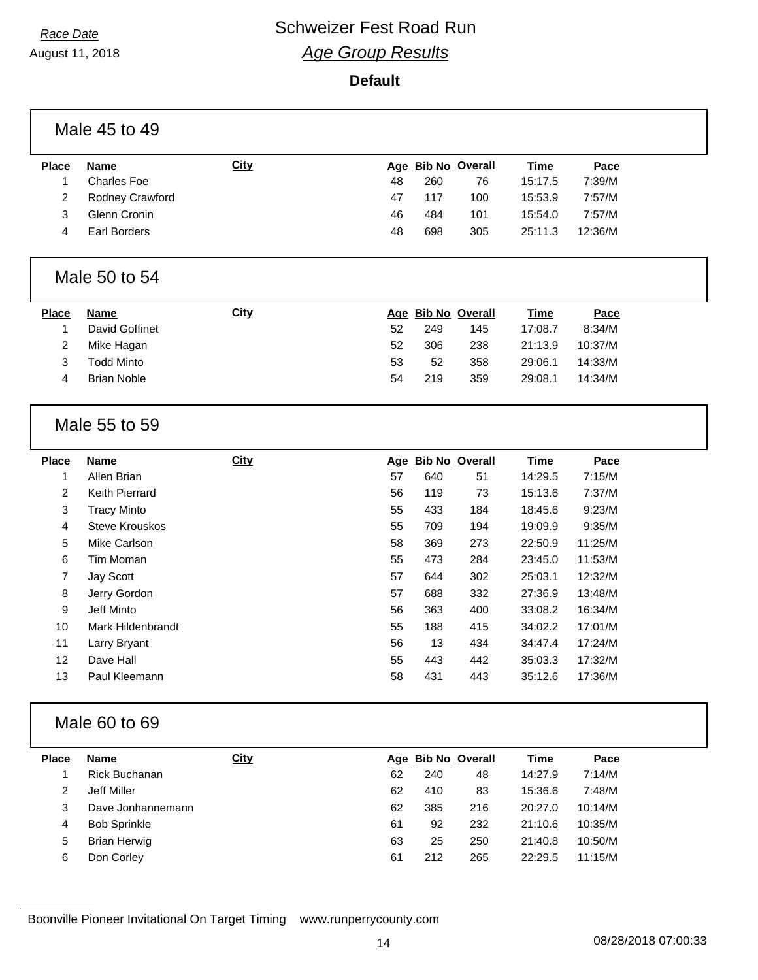August 11, 2018

#### **Default**

| Male 45 to 49           |                       |             |    |     |                    |             |         |  |  |
|-------------------------|-----------------------|-------------|----|-----|--------------------|-------------|---------|--|--|
| <b>Place</b>            | <b>Name</b>           | City        |    |     | Age Bib No Overall | <b>Time</b> | Pace    |  |  |
| 1                       | <b>Charles Foe</b>    |             | 48 | 260 | 76                 | 15:17.5     | 7:39/M  |  |  |
| $\overline{\mathbf{c}}$ | Rodney Crawford       |             | 47 | 117 | 100                | 15:53.9     | 7:57/M  |  |  |
| 3                       | Glenn Cronin          |             | 46 | 484 | 101                | 15:54.0     | 7:57/M  |  |  |
| 4                       | <b>Earl Borders</b>   |             | 48 | 698 | 305                | 25:11.3     | 12:36/M |  |  |
|                         | Male 50 to 54         |             |    |     |                    |             |         |  |  |
| <b>Place</b>            | <b>Name</b>           | <b>City</b> |    |     | Age Bib No Overall | <b>Time</b> | Pace    |  |  |
| 1                       | David Goffinet        |             | 52 | 249 | 145                | 17:08.7     | 8:34/M  |  |  |
| 2                       | Mike Hagan            |             | 52 | 306 | 238                | 21:13.9     | 10:37/M |  |  |
| 3                       | <b>Todd Minto</b>     |             | 53 | 52  | 358                | 29:06.1     | 14:33/M |  |  |
| 4                       | <b>Brian Noble</b>    |             | 54 | 219 | 359                | 29:08.1     | 14:34/M |  |  |
|                         | Male 55 to 59         |             |    |     |                    |             |         |  |  |
| <b>Place</b>            | <b>Name</b>           | <b>City</b> |    |     | Age Bib No Overall | <b>Time</b> | Pace    |  |  |
| $\mathbf{1}$            | Allen Brian           |             | 57 | 640 | 51                 | 14:29.5     | 7:15/M  |  |  |
| 2                       | Keith Pierrard        |             | 56 | 119 | 73                 | 15:13.6     | 7:37/M  |  |  |
| 3                       | <b>Tracy Minto</b>    |             | 55 | 433 | 184                | 18:45.6     | 9:23/M  |  |  |
| 4                       | <b>Steve Krouskos</b> |             | 55 | 709 | 194                | 19:09.9     | 9:35/M  |  |  |
| 5                       | Mike Carlson          |             | 58 | 369 | 273                | 22:50.9     | 11:25/M |  |  |
| 6                       | Tim Moman             |             | 55 | 473 | 284                | 23:45.0     | 11:53/M |  |  |
| 7                       | Jay Scott             |             | 57 | 644 | 302                | 25:03.1     | 12:32/M |  |  |
| 8                       | Jerry Gordon          |             | 57 | 688 | 332                | 27:36.9     | 13:48/M |  |  |
| 9                       | Jeff Minto            |             | 56 | 363 | 400                | 33:08.2     | 16:34/M |  |  |
| 10                      | Mark Hildenbrandt     |             | 55 | 188 | 415                | 34:02.2     | 17:01/M |  |  |
| 11                      | Larry Bryant          |             | 56 | 13  | 434                | 34:47.4     | 17:24/M |  |  |
| 12                      | Dave Hall             |             | 55 | 443 | 442                | 35:03.3     | 17:32/M |  |  |
| 13                      | Paul Kleemann         |             | 58 | 431 | 443                | 35:12.6     | 17:36/M |  |  |
| Male 60 to 69           |                       |             |    |     |                    |             |         |  |  |
| <b>Place</b>            | <b>Name</b>           | <b>City</b> |    |     | Age Bib No Overall | <b>Time</b> | Pace    |  |  |
| 1                       | Rick Buchanan         |             | 62 | 240 | 48                 | 14:27.9     | 7:14/M  |  |  |
| $\overline{2}$          | Jeff Miller           |             | 62 | 410 | 83                 | 15:36.6     | 7:48/M  |  |  |
| $\mathbf{3}$            | Dave Jonhannemann     |             | 62 | 385 | 216                | 20:27.0     | 10:14/M |  |  |
| 4                       | <b>Bob Sprinkle</b>   |             | 61 | 92  | 232                | 21:10.6     | 10:35/M |  |  |
| 5                       | <b>Brian Herwig</b>   |             | 63 | 25  | 250                | 21:40.8     | 10:50/M |  |  |
| 6                       | Don Corley            |             | 61 | 212 | 265                | 22:29.5     | 11:15/M |  |  |